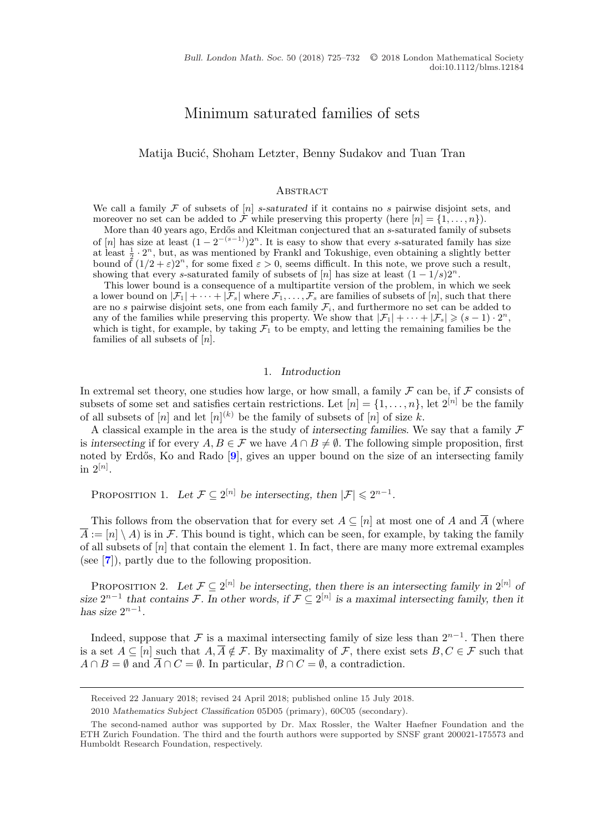# Minimum saturated families of sets

## <span id="page-0-0"></span>Matija Bucić, Shoham Letzter, Benny Sudakov and Tuan Tran

#### **ABSTRACT**

We call a family  $\mathcal F$  of subsets of  $[n]$  s-saturated if it contains no s pairwise disjoint sets, and moreover no set can be added to F while preserving this property (here  $[n] = \{1, \ldots, n\}$ ).

More than 40 years ago, Erdős and Kleitman conjectured that an s-saturated family of subsets of  $[n]$  has size at least  $(1 - 2^{-(s-1)})2^n$ . It is easy to show that every s-saturated family has size at least  $\frac{1}{2} \cdot 2^n$ , but, as was mentioned by Frankl and Tokushige, even obtaining a slightly better bound of  $(1/2 + \varepsilon)2^n$ , for some fixed  $\varepsilon > 0$ , seems difficult. In this note, we prove such a result, showing that every s-saturated family of subsets of [n] has size at least  $(1 - 1/s)2^n$ .

This lower bound is a consequence of a multipartite version of the problem, in which we seek a lower bound on  $|\mathcal{F}_1| + \cdots + |\mathcal{F}_s|$  where  $\mathcal{F}_1, \ldots, \mathcal{F}_s$  are families of subsets of  $[n]$ , such that there are no s pairwise disjoint sets, one from each family  $\mathcal{F}_i$ , and furthermore no set can be added to any of the families while preserving this property. We show that  $|\mathcal{F}_1| + \cdots + |\mathcal{F}_s| \geq (s-1) \cdot 2^n$ , which is tight, for example, by taking  $\mathcal{F}_1$  to be empty, and letting the remaining families be the families of all subsets of  $[n]$ .

## 1. *Introduction*

In extremal set theory, one studies how large, or how small, a family  $\mathcal F$  can be, if  $\mathcal F$  consists of subsets of some set and satisfies certain restrictions. Let  $[n] = \{1, \ldots, n\}$ , let  $2^{[n]}$  be the family of all subsets of  $[n]$  and let  $[n]^{(k)}$  be the family of subsets of  $[n]$  of size k.

A classical example in the area is the study of *intersecting families*. We say that a family F is *intersecting* if for every  $A, B \in \mathcal{F}$  we have  $A \cap B \neq \emptyset$ . The following simple proposition, first noted by Erdős, Ko and Rado [[9](#page-6-0)], gives an upper bound on the size of an intersecting family in  $2^{[n]}$ .

PROPOSITION 1. Let  $\mathcal{F} \subseteq 2^{[n]}$  be intersecting, then  $|\mathcal{F}| \leq 2^{n-1}$ .

This follows from the observation that for every set  $A \subseteq [n]$  at most one of A and  $\overline{A}$  (where  $\overline{A} := [n] \setminus A$  is in F. This bound is tight, which can be seen, for example, by taking the family of all subsets of  $[n]$  that contain the element 1. In fact, there are many more extremal examples (see [**[7](#page-6-0)**]), partly due to the following proposition.

PROPOSITION 2. Let  $\mathcal{F} \subseteq 2^{[n]}$  be intersecting, then there is an intersecting family in  $2^{[n]}$  of *size*  $2^{n-1}$  *that contains* F. In other words, if  $\mathcal{F} \subseteq 2^{[n]}$  *is a maximal intersecting family, then it has size*  $2^{n-1}$ *.* 

Indeed, suppose that F is a maximal intersecting family of size less than  $2^{n-1}$ . Then there is a set  $A \subseteq [n]$  such that  $A, \overline{A} \notin \mathcal{F}$ . By maximality of  $\mathcal{F}$ , there exist sets  $B, C \in \mathcal{F}$  such that  $A \cap B = \emptyset$  and  $\overline{A} \cap C = \emptyset$ . In particular,  $B \cap C = \emptyset$ , a contradiction.

Received 22 January 2018; revised 24 April 2018; published online 15 July 2018.

<sup>2010</sup> *Mathematics Subject Classification* 05D05 (primary), 60C05 (secondary).

The second-named author was supported by Dr. Max Rossler, the Walter Haefner Foundation and the ETH Zurich Foundation. The third and the fourth authors were supported by SNSF grant 200021-175573 and Humboldt Research Foundation, respectively.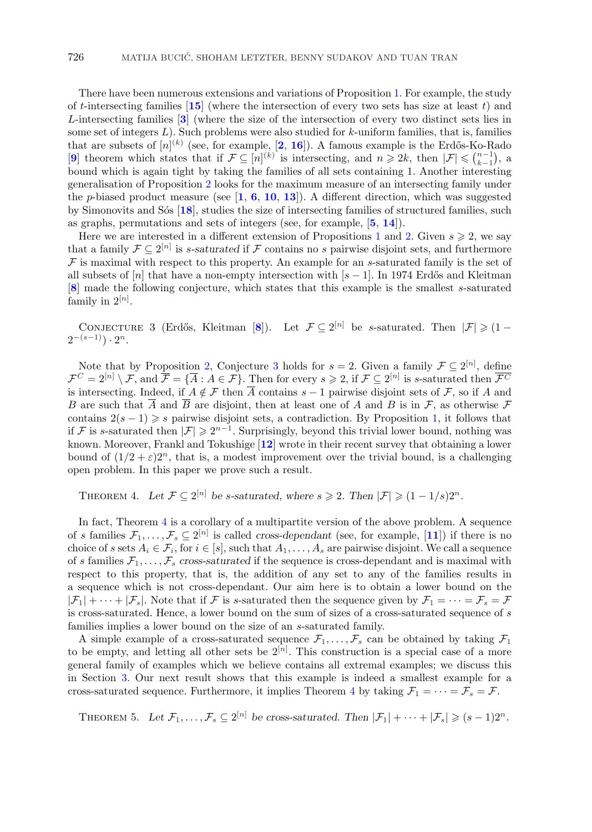<span id="page-1-0"></span>There have been numerous extensions and variations of Proposition [1.](#page-0-0) For example, the study of t-intersecting families  $\boxed{15}$  $\boxed{15}$  $\boxed{15}$  (where the intersection of every two sets has size at least t) and L-intersecting families [**[3](#page-6-0)**] (where the size of the intersection of every two distinct sets lies in some set of integers  $L$ ). Such problems were also studied for  $k$ -uniform families, that is, families that are subsets of  $[n]^{(k)}$  (see, for example,  $[2, 16]$  $[2, 16]$  $[2, 16]$  $[2, 16]$  $[2, 16]$ ). A famous example is the Erdős-Ko-Rado [[9](#page-6-0)] theorem which states that if  $\mathcal{F} \subseteq [n]^{(k)}$  is intersecting, and  $n \geq 2k$ , then  $|\mathcal{F}| \leq {n-1 \choose k-1}$ , a bound which is again tight by taking the families of all sets containing 1. Another interesting generalisation of Proposition [2](#page-0-0) looks for the maximum measure of an intersecting family under the p-biased product measure (see [**[1](#page-6-0)**, **[6](#page-6-0)**, **[10](#page-6-0)**, **[13](#page-6-0)**]). A different direction, which was suggested by Simonovits and S´os [**[18](#page-7-0)**], studies the size of intersecting families of structured families, such as graphs, permutations and sets of integers (see, for example, [**[5](#page-6-0)**, **[14](#page-6-0)**]).

Here we are interested in a different extension of Propositions [1](#page-0-0) and [2.](#page-0-0) Given  $s \geqslant 2$ , we say that a family  $\mathcal{F} \subseteq 2^{[n]}$  is *s*-saturated if F contains no *s* pairwise disjoint sets, and furthermore  $\mathcal F$  is maximal with respect to this property. An example for an s-saturated family is the set of all subsets of  $[n]$  that have a non-empty intersection with  $[s-1]$ . In 1974 Erdős and Kleitman [**[8](#page-6-0)**] made the following conjecture, which states that this example is the smallest s-saturated family in  $2^{[n]}$ .

CONJECTURE 3 (Erdős, Kleitman [[8](#page-6-0)]). Let  $\mathcal{F} \subseteq 2^{[n]}$  be s-saturated. Then  $|\mathcal{F}| \geqslant (1 2^{-(s-1)}$ .  $2^n$ .

Note that by Proposition [2,](#page-0-0) Conjecture 3 holds for  $s = 2$ . Given a family  $\mathcal{F} \subseteq 2^{[n]}$ , define  $\mathcal{F}^C = 2^{[n]} \setminus \mathcal{F}$ , and  $\overline{\mathcal{F}} = \{\overline{A} : A \in \mathcal{F}\}$ . Then for every  $s \geqslant 2$ , if  $\mathcal{F} \subseteq 2^{[n]}$  is s-saturated then  $\mathcal{F}^C$ is intersecting. Indeed, if  $A \notin \mathcal{F}$  then  $\overline{A}$  contains  $s - 1$  pairwise disjoint sets of  $\mathcal{F}$ , so if A and B are such that  $\overline{A}$  and  $\overline{B}$  are disjoint, then at least one of A and B is in F, as otherwise F contains  $2(s-1) \geq s$  pairwise disjoint sets, a contradiction. By Proposition [1,](#page-0-0) it follows that if F is s-saturated then  $|\mathcal{F}| \geq 2^{n-1}$ . Surprisingly, beyond this trivial lower bound, nothing was known. Moreover, Frankl and Tokushige [**[12](#page-6-0)**] wrote in their recent survey that obtaining a lower bound of  $(1/2 + \varepsilon)2^n$ , that is, a modest improvement over the trivial bound, is a challenging open problem. In this paper we prove such a result.

THEOREM 4. Let  $\mathcal{F} \subseteq 2^{[n]}$  be *s*-saturated, where  $s \geqslant 2$ . Then  $|\mathcal{F}| \geqslant (1 - 1/s)2^n$ .

In fact, Theorem 4 is a corollary of a multipartite version of the above problem. A sequence of s families  $\mathcal{F}_1,\ldots,\mathcal{F}_s\subseteq 2^{[n]}$  is called *cross-dependant* (see, for example, [[11](#page-6-0)]) if there is no choice of s sets  $A_i \in \mathcal{F}_i$ , for  $i \in [s]$ , such that  $A_1, \ldots, A_s$  are pairwise disjoint. We call a sequence of s families  $\mathcal{F}_1,\ldots,\mathcal{F}_s$  cross-saturated if the sequence is cross-dependant and is maximal with respect to this property, that is, the addition of any set to any of the families results in a sequence which is not cross-dependant. Our aim here is to obtain a lower bound on the  $|\mathcal{F}_1| + \cdots + |\mathcal{F}_s|$ . Note that if  $\mathcal F$  is s-saturated then the sequence given by  $\mathcal F_1 = \cdots = \mathcal F_s = \mathcal F$ is cross-saturated. Hence, a lower bound on the sum of sizes of a cross-saturated sequence of s families implies a lower bound on the size of an s-saturated family.

A simple example of a cross-saturated sequence  $\mathcal{F}_1,\ldots,\mathcal{F}_s$  can be obtained by taking  $\mathcal{F}_1$ to be empty, and letting all other sets be  $2^{[n]}$ . This construction is a special case of a more general family of examples which we believe contains all extremal examples; we discuss this in Section [3.](#page-5-0) Our next result shows that this example is indeed a smallest example for a cross-saturated sequence. Furthermore, it implies Theorem 4 by taking  $\mathcal{F}_1 = \cdots = \mathcal{F}_s = \mathcal{F}$ .

THEOREM 5. Let  $\mathcal{F}_1, \ldots, \mathcal{F}_s \subseteq 2^{[n]}$  be cross-saturated. Then  $|\mathcal{F}_1| + \cdots + |\mathcal{F}_s| \geqslant (s-1)2^n$ .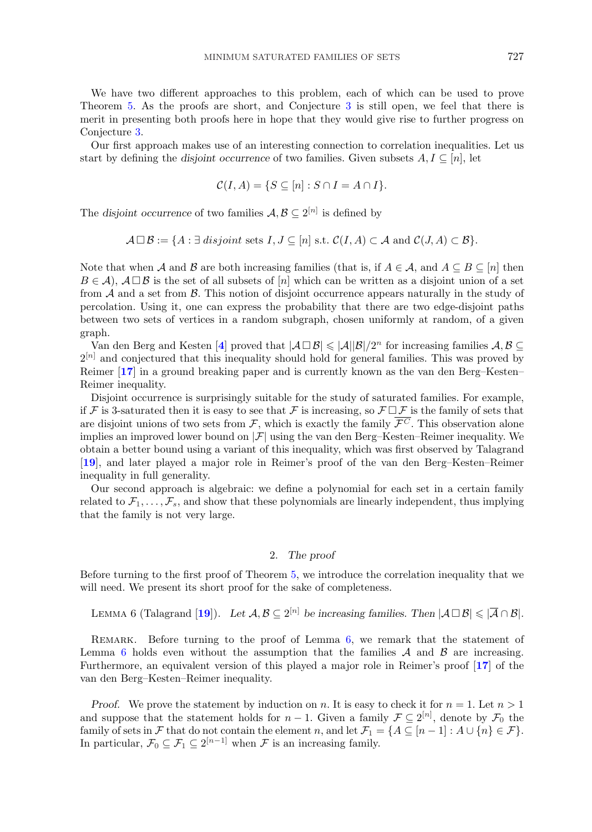<span id="page-2-0"></span>We have two different approaches to this problem, each of which can be used to prove Theorem [5.](#page-1-0) As the proofs are short, and Conjecture [3](#page-1-0) is still open, we feel that there is merit in presenting both proofs here in hope that they would give rise to further progress on Conjecture [3.](#page-1-0)

Our first approach makes use of an interesting connection to correlation inequalities. Let us start by defining the *disjoint occurrence* of two families. Given subsets  $A, I \subseteq [n]$ , let

$$
\mathcal{C}(I, A) = \{ S \subseteq [n] : S \cap I = A \cap I \}.
$$

The *disjoint occurrence* of two families  $A, B \subseteq 2^{[n]}$  is defined by

$$
\mathcal{A} \square \mathcal{B} := \{ A : \exists \text{ disjoint sets } I, J \subseteq [n] \text{ s.t. } \mathcal{C}(I, A) \subset \mathcal{A} \text{ and } \mathcal{C}(J, A) \subset \mathcal{B} \}.
$$

Note that when A and B are both increasing families (that is, if  $A \in \mathcal{A}$ , and  $A \subseteq B \subseteq [n]$  then  $B \in \mathcal{A}$ ,  $\mathcal{A} \square \mathcal{B}$  is the set of all subsets of [n] which can be written as a disjoint union of a set from  $A$  and a set from  $B$ . This notion of disjoint occurrence appears naturally in the study of percolation. Using it, one can express the probability that there are two edge-disjoint paths between two sets of vertices in a random subgraph, chosen uniformly at random, of a given graph.

Van den Berg and Kesten [[4](#page-6-0)] proved that  $|\mathcal{A} \Box \mathcal{B}| \leq |\mathcal{A}||\mathcal{B}|/2^n$  for increasing families  $\mathcal{A}, \mathcal{B} \subseteq$  $2^{[n]}$  and conjectured that this inequality should hold for general families. This was proved by Reimer [**[17](#page-7-0)**] in a ground breaking paper and is currently known as the van den Berg–Kesten– Reimer inequality.

Disjoint occurrence is surprisingly suitable for the study of saturated families. For example, if F is 3-saturated then it is easy to see that F is increasing, so  $\mathcal{F} \Box \mathcal{F}$  is the family of sets that are disjoint unions of two sets from  $\mathcal{F}$ , which is exactly the family  $\overline{\mathcal{F}^C}$ . This observation alone implies an improved lower bound on  $|\mathcal{F}|$  using the van den Berg–Kesten–Reimer inequality. We obtain a better bound using a variant of this inequality, which was first observed by Talagrand [**[19](#page-7-0)**], and later played a major role in Reimer's proof of the van den Berg–Kesten–Reimer inequality in full generality.

Our second approach is algebraic: we define a polynomial for each set in a certain family related to  $\mathcal{F}_1,\ldots,\mathcal{F}_s$ , and show that these polynomials are linearly independent, thus implying that the family is not very large.

### 2. *The proof*

Before turning to the first proof of Theorem [5,](#page-1-0) we introduce the correlation inequality that we will need. We present its short proof for the sake of completeness.

LEMMA 6 (Talagrand [[19](#page-7-0)]). Let  $\mathcal{A}, \mathcal{B} \subseteq 2^{[n]}$  be increasing families. Then  $|\mathcal{A} \square \mathcal{B}| \leq |\mathcal{A} \cap \mathcal{B}|$ .

REMARK. Before turning to the proof of Lemma 6, we remark that the statement of Lemma 6 holds even without the assumption that the families  $A$  and  $B$  are increasing. Furthermore, an equivalent version of this played a major role in Reimer's proof [**[17](#page-7-0)**] of the van den Berg–Kesten–Reimer inequality.

*Proof.* We prove the statement by induction on n. It is easy to check it for  $n = 1$ . Let  $n > 1$ and suppose that the statement holds for  $n-1$ . Given a family  $\mathcal{F} \subseteq 2^{[n]}$ , denote by  $\mathcal{F}_0$  the family of sets in F that do not contain the element n, and let  $\mathcal{F}_1 = \{A \subseteq [n-1] : A \cup \{n\} \in \mathcal{F}\}.$ In particular,  $\mathcal{F}_0 \subseteq \mathcal{F}_1 \subseteq 2^{[n-1]}$  when  $\mathcal F$  is an increasing family.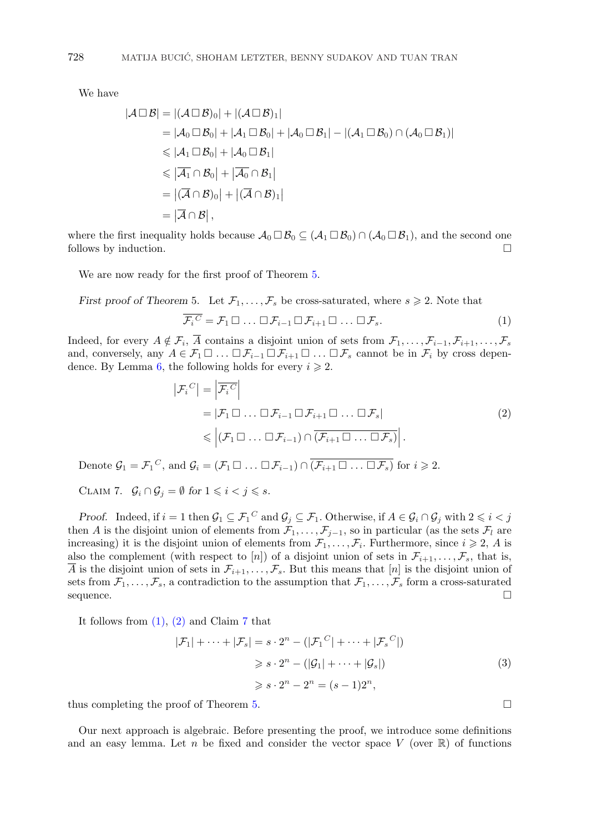We have

$$
|\mathcal{A}\square\mathcal{B}| = |(\mathcal{A}\square\mathcal{B})_0| + |(\mathcal{A}\square\mathcal{B})_1|
$$
  
\n
$$
= |\mathcal{A}_0\square\mathcal{B}_0| + |\mathcal{A}_1\square\mathcal{B}_0| + |\mathcal{A}_0\square\mathcal{B}_1| - |(\mathcal{A}_1\square\mathcal{B}_0) \cap (\mathcal{A}_0\square\mathcal{B}_1)|
$$
  
\n
$$
\leq |\mathcal{A}_1\square\mathcal{B}_0| + |\mathcal{A}_0\square\mathcal{B}_1|
$$
  
\n
$$
\leq |\overline{\mathcal{A}_1} \cap \mathcal{B}_0| + |\overline{\mathcal{A}_0} \cap \mathcal{B}_1|
$$
  
\n
$$
= |(\overline{\mathcal{A}} \cap \mathcal{B})_0| + |(\overline{\mathcal{A}} \cap \mathcal{B})_1|
$$
  
\n
$$
= |\overline{\mathcal{A}} \cap \mathcal{B}|,
$$

where the first inequality holds because  $\mathcal{A}_0 \square \mathcal{B}_0 \subseteq (\mathcal{A}_1 \square \mathcal{B}_0) \cap (\mathcal{A}_0 \square \mathcal{B}_1)$ , and the second one follows by induction.

We are now ready for the first proof of Theorem [5.](#page-1-0)

*First proof of Theorem 5.* Let  $\mathcal{F}_1, \ldots, \mathcal{F}_s$  be cross-saturated, where  $s \geq 2$ . Note that

$$
\overline{\mathcal{F}_i}^C = \mathcal{F}_1 \square \dots \square \mathcal{F}_{i-1} \square \mathcal{F}_{i+1} \square \dots \square \mathcal{F}_s.
$$
\n
$$
(1)
$$

Indeed, for every  $A \notin \mathcal{F}_i$ ,  $\overline{A}$  contains a disjoint union of sets from  $\mathcal{F}_1,\ldots,\mathcal{F}_{i-1},\mathcal{F}_{i+1},\ldots,\mathcal{F}_s$ and, conversely, any  $A \in \mathcal{F}_1 \square ... \square \mathcal{F}_{i-1} \square \mathcal{F}_{i+1} \square ... \square \mathcal{F}_s$  cannot be in  $\mathcal{F}_i$  by cross depen-dence. By Lemma [6,](#page-2-0) the following holds for every  $i \geqslant 2$ .

$$
\left| \mathcal{F}_i^C \right| = \left| \overline{\mathcal{F}_i^C} \right|
$$
  
=  $|\mathcal{F}_1 \square \dots \square \mathcal{F}_{i-1} \square \mathcal{F}_{i+1} \square \dots \square \mathcal{F}_s|$   
 $\leq \left| (\mathcal{F}_1 \square \dots \square \mathcal{F}_{i-1}) \cap \overline{(\mathcal{F}_{i+1} \square \dots \square \mathcal{F}_s)} \right|.$  (2)

Denote  $\mathcal{G}_1 = \mathcal{F}_1^C$ , and  $\mathcal{G}_i = (\mathcal{F}_1 \square \dots \square \mathcal{F}_{i-1}) \cap (\overline{\mathcal{F}_{i+1} \square \dots \square \mathcal{F}_s})$  for  $i \geqslant 2$ .

CLAIM 7.  $\mathcal{G}_i \cap \mathcal{G}_j = \emptyset$  for  $1 \leq i < j \leq s$ .

*Proof.* Indeed, if  $i = 1$  then  $\mathcal{G}_1 \subseteq \mathcal{F}_1^C$  and  $\mathcal{G}_j \subseteq \mathcal{F}_1$ . Otherwise, if  $A \in \mathcal{G}_i \cap \mathcal{G}_j$  with  $2 \leq i < j$ then A is the disjoint union of elements from  $\mathcal{F}_1,\ldots,\mathcal{F}_{j-1}$ , so in particular (as the sets  $\mathcal{F}_l$  are increasing) it is the disjoint union of elements from  $\mathcal{F}_1,\ldots,\mathcal{F}_i$ . Furthermore, since  $i \geqslant 2$ , A is also the complement (with respect to [n]) of a disjoint union of sets in  $\mathcal{F}_{i+1},\ldots,\mathcal{F}_s$ , that is,  $\overline{A}$  is the disjoint union of sets in  $\mathcal{F}_{i+1},\ldots,\mathcal{F}_s$ . But this means that  $[n]$  is the disjoint union of sets from  $\mathcal{F}_1,\ldots,\mathcal{F}_s$ , a contradiction to the assumption that  $\mathcal{F}_1,\ldots,\mathcal{F}_s$  form a cross-saturated sequence.

It follows from  $(1)$ ,  $(2)$  and Claim 7 that

$$
|\mathcal{F}_1| + \dots + |\mathcal{F}_s| = s \cdot 2^n - (|\mathcal{F}_1^C| + \dots + |\mathcal{F}_s^C|)
$$
  
\n
$$
\geq s \cdot 2^n - (|\mathcal{G}_1| + \dots + |\mathcal{G}_s|)
$$
  
\n
$$
\geq s \cdot 2^n - 2^n = (s - 1)2^n,
$$
\n(3)

thus completing the proof of Theorem [5.](#page-1-0)

Our next approach is algebraic. Before presenting the proof, we introduce some definitions and an easy lemma. Let n be fixed and consider the vector space V (over  $\mathbb R$ ) of functions

<span id="page-3-0"></span>
$$
728 \\
$$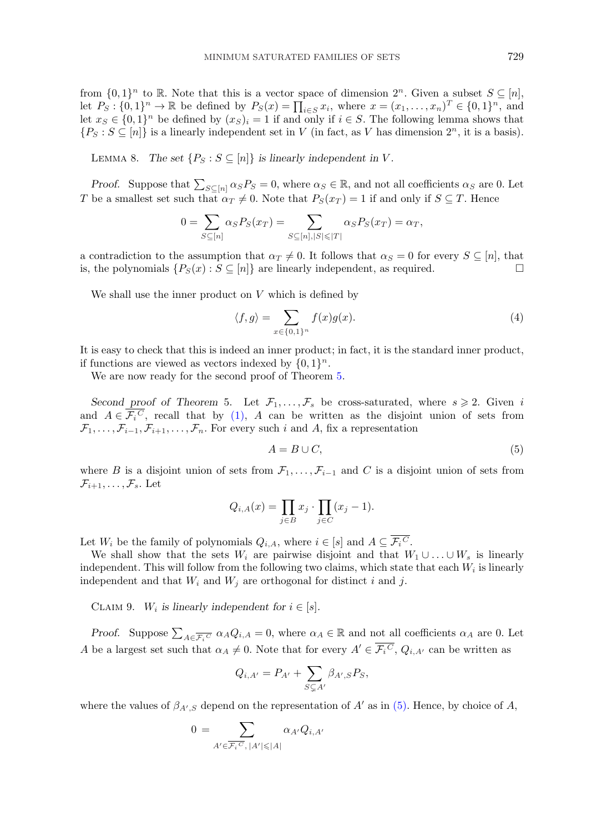<span id="page-4-0"></span>from  $\{0,1\}^n$  to R. Note that this is a vector space of dimension  $2^n$ . Given a subset  $S \subseteq [n]$ , let  $P_S: \{0,1\}^n \to \mathbb{R}$  be defined by  $P_S(x) = \prod_{i \in S} x_i$ , where  $x = (x_1, \ldots, x_n)^T \in \{0,1\}^n$ , and let  $x_S \in \{0,1\}^n$  be defined by  $(x_S)_i = 1$  if and only if  $i \in S$ . The following lemma shows that  $\{P_S : S \subseteq [n]\}$  is a linearly independent set in V (in fact, as V has dimension  $2^n$ , it is a basis).

LEMMA 8. *The set*  $\{P_S : S \subseteq [n]\}$  *is linearly independent in* V.

*Proof.* Suppose that  $\sum_{S \subseteq [n]} \alpha_S P_S = 0$ , where  $\alpha_S \in \mathbb{R}$ , and not all coefficients  $\alpha_S$  are 0. Let T be a smallest set such that  $\alpha_T \neq 0$ . Note that  $P_S(x_T) = 1$  if and only if  $S \subseteq T$ . Hence

$$
0 = \sum_{S \subseteq [n]} \alpha_S P_S(x_T) = \sum_{S \subseteq [n], |S| \leq |T|} \alpha_S P_S(x_T) = \alpha_T,
$$

a contradiction to the assumption that  $\alpha_T \neq 0$ . It follows that  $\alpha_S = 0$  for every  $S \subseteq [n]$ , that is, the polynomials  $\{P_S(x) : S \subseteq [n]\}$  are linearly independent, as required.

We shall use the inner product on  $V$  which is defined by

$$
\langle f, g \rangle = \sum_{x \in \{0, 1\}^n} f(x)g(x). \tag{4}
$$

It is easy to check that this is indeed an inner product; in fact, it is the standard inner product, if functions are viewed as vectors indexed by  $\{0, 1\}^n$ .

We are now ready for the second proof of Theorem [5.](#page-1-0)

Second proof of Theorem 5. Let  $\mathcal{F}_1, \ldots, \mathcal{F}_s$  be cross-saturated, where  $s \geq 2$ . Given i and  $A \in \mathcal{F}_i^C$ , recall that by [\(1\),](#page-3-0) A can be written as the disjoint union of sets from  $\mathcal{F}_1,\ldots,\mathcal{F}_{i-1},\mathcal{F}_{i+1},\ldots,\mathcal{F}_n$ . For every such i and A, fix a representation

$$
A = B \cup C,\tag{5}
$$

where B is a disjoint union of sets from  $\mathcal{F}_1,\ldots,\mathcal{F}_{i-1}$  and C is a disjoint union of sets from  $\mathcal{F}_{i+1},\ldots,\mathcal{F}_{s}$ . Let

$$
Q_{i,A}(x) = \prod_{j \in B} x_j \cdot \prod_{j \in C} (x_j - 1).
$$

Let  $W_i$  be the family of polynomials  $Q_{i,A}$ , where  $i \in [s]$  and  $A \subseteq \mathcal{F}_i^C$ .

We shall show that the sets  $W_i$  are pairwise disjoint and that  $W_1 \cup \ldots \cup W_s$  is linearly independent. This will follow from the following two claims, which state that each  $W_i$  is linearly independent and that  $W_i$  and  $W_j$  are orthogonal for distinct i and j.

CLAIM 9.  $W_i$  is linearly independent for  $i \in [s]$ .

*Proof.* Suppose  $\sum_{A \in \overline{\mathcal{F}_i C}} \alpha_A Q_{i,A} = 0$ , where  $\alpha_A \in \mathbb{R}$  and not all coefficients  $\alpha_A$  are 0. Let A be a largest set such that  $\alpha_A \neq 0$ . Note that for every  $A' \in \overline{\mathcal{F}_i^C}$ ,  $Q_{i,A'}$  can be written as

$$
Q_{i,A'} = P_{A'} + \sum_{S \subsetneq A'} \beta_{A',S} P_S,
$$

where the values of  $\beta_{A',S}$  depend on the representation of  $A'$  as in (5). Hence, by choice of A,

$$
0 = \sum_{A' \in \overline{\mathcal{F}_i}^C, |A'| \leqslant |A|} \alpha_{A'} Q_{i, A'}
$$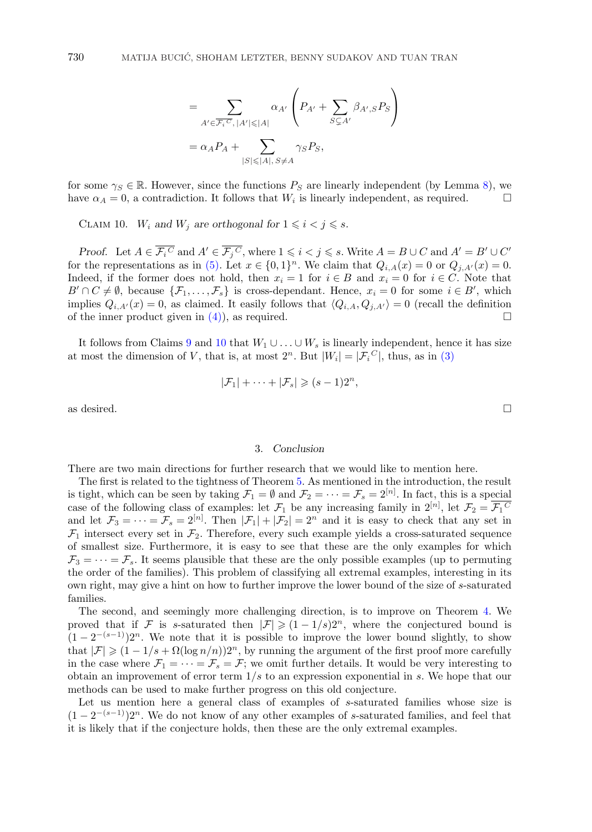$$
= \sum_{A' \in \overline{\mathcal{F}_i}^C, |A'| \leq |A|} \alpha_{A'} \left( P_{A'} + \sum_{S \subsetneq A'} \beta_{A',S} P_S \right)
$$
  
=  $\alpha_A P_A + \sum_{|S| \leq |A|, S \neq A} \gamma_S P_S$ ,

for some  $\gamma_S \in \mathbb{R}$ . However, since the functions  $P_S$  are linearly independent (by Lemma [8\)](#page-4-0), we have  $\alpha_A = 0$ , a contradiction. It follows that  $W_i$  is linearly independent, as required.

CLAIM 10.  $W_i$  and  $W_j$  are orthogonal for  $1 \leq i < j \leq s$ .

*Proof.* Let  $A \in \mathcal{F}_i^C$  and  $A' \in \mathcal{F}_j^C$ , where  $1 \leq i < j \leq s$ . Write  $A = B \cup C$  and  $A' = B' \cup C'$ for the representations as in [\(5\).](#page-4-0) Let  $x \in \{0,1\}^n$ . We claim that  $Q_{i,A}(x) = 0$  or  $Q_{j,A'}(x) = 0$ . Indeed, if the former does not hold, then  $x_i = 1$  for  $i \in B$  and  $x_i = 0$  for  $i \in C$ . Note that  $B' \cap C \neq \emptyset$ , because  $\{\mathcal{F}_1, \ldots, \mathcal{F}_s\}$  is cross-dependant. Hence,  $x_i = 0$  for some  $i \in B'$ , which implies  $Q_{i,A'}(x) = 0$ , as claimed. It easily follows that  $\langle Q_{i,A}, Q_{j,A'} \rangle = 0$  (recall the definition of the inner product given in [\(4\)\)](#page-4-0), as required.  $\square$ 

It follows from Claims [9](#page-4-0) and 10 that  $W_1 \cup \ldots \cup W_s$  is linearly independent, hence it has size at most the dimension of V, that is, at most  $2^n$ . But  $|W_i| = |\mathcal{F}_i^C|$ , thus, as in [\(3\)](#page-3-0)

$$
|\mathcal{F}_1| + \cdots + |\mathcal{F}_s| \geq (s-1)2^n,
$$

as desired.  $\square$ 

#### 3. *Conclusion*

There are two main directions for further research that we would like to mention here.

The first is related to the tightness of Theorem [5.](#page-1-0) As mentioned in the introduction, the result is tight, which can be seen by taking  $\mathcal{F}_1 = \emptyset$  and  $\mathcal{F}_2 = \cdots = \mathcal{F}_s = 2^{[n]}$ . In fact, this is a special case of the following class of examples: let  $\mathcal{F}_1$  be any increasing family in  $2^{[n]}$ , let  $\mathcal{F}_2 = \overline{\mathcal{F}_1^C}$ and let  $\mathcal{F}_3 = \cdots = \mathcal{F}_s = 2^{[n]}$ . Then  $|\mathcal{F}_1| + |\mathcal{F}_2| = 2^n$  and it is easy to check that any set in  $\mathcal{F}_1$  intersect every set in  $\mathcal{F}_2$ . Therefore, every such example yields a cross-saturated sequence of smallest size. Furthermore, it is easy to see that these are the only examples for which  $\mathcal{F}_3 = \cdots = \mathcal{F}_s$ . It seems plausible that these are the only possible examples (up to permuting the order of the families). This problem of classifying all extremal examples, interesting in its own right, may give a hint on how to further improve the lower bound of the size of s-saturated families.

The second, and seemingly more challenging direction, is to improve on Theorem [4.](#page-1-0) We proved that if F is s-saturated then  $|\mathcal{F}| \geqslant (1-1/s)2^n$ , where the conjectured bound is  $(1-2^{-(s-1)})2^n$ . We note that it is possible to improve the lower bound slightly, to show that  $|\mathcal{F}| \geq (1 - 1/s + \Omega(\log n/n))2^n$ , by running the argument of the first proof more carefully in the case where  $\mathcal{F}_1 = \cdots = \mathcal{F}_s = \mathcal{F}$ ; we omit further details. It would be very interesting to obtain an improvement of error term  $1/s$  to an expression exponential in s. We hope that our methods can be used to make further progress on this old conjecture.

Let us mention here a general class of examples of s-saturated families whose size is  $(1 - 2^{-(s-1)})2^n$ . We do not know of any other examples of s-saturated families, and feel that it is likely that if the conjecture holds, then these are the only extremal examples.

<span id="page-5-0"></span>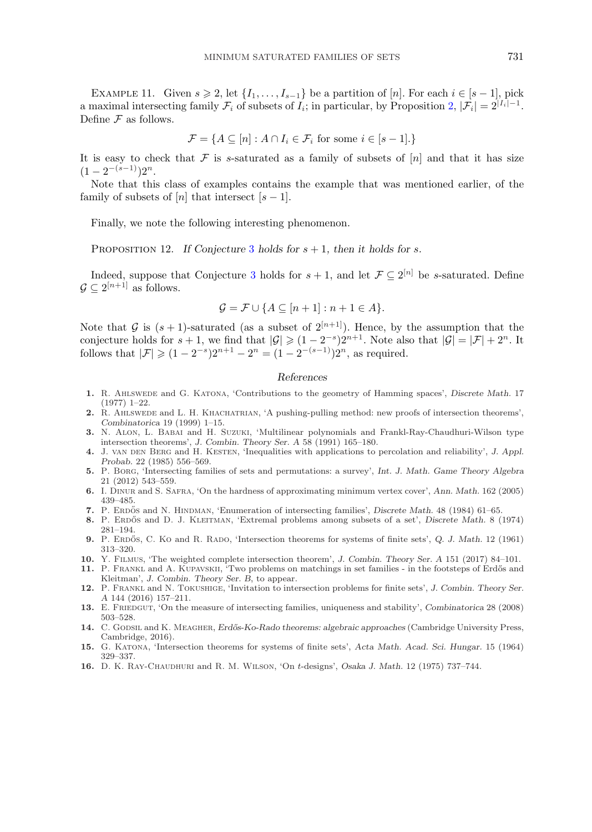<span id="page-6-0"></span>EXAMPLE 11. Given  $s \ge 2$ , let  $\{I_1, \ldots, I_{s-1}\}$  be a partition of [n]. For each  $i \in [s-1]$ , pick a maximal intersecting family  $\mathcal{F}_i$  of subsets of  $I_i$ ; in particular, by Proposition [2,](#page-0-0)  $|\mathcal{F}_i| = 2^{|I_i|-1}$ . Define  $\mathcal F$  as follows.

$$
\mathcal{F} = \{ A \subseteq [n] : A \cap I_i \in \mathcal{F}_i \text{ for some } i \in [s-1] \}.
$$

It is easy to check that  $\mathcal F$  is s-saturated as a family of subsets of  $[n]$  and that it has size  $(1-2^{-(s-1)})2^n$ .

Note that this class of examples contains the example that was mentioned earlier, of the family of subsets of  $[n]$  that intersect  $[s-1]$ .

Finally, we note the following interesting phenomenon.

PROPOSITION 12. *If Conjecture* [3](#page-1-0) *holds for*  $s + 1$ *, then it holds for* s.

Indeed, suppose that Conjecture [3](#page-1-0) holds for  $s + 1$ , and let  $\mathcal{F} \subseteq 2^{[n]}$  be s-saturated. Define  $\mathcal{G} \subseteq 2^{[n+1]}$  as follows.

$$
\mathcal{G} = \mathcal{F} \cup \{ A \subseteq [n+1] : n+1 \in A \}.
$$

Note that G is  $(s + 1)$ -saturated (as a subset of  $2^{[n+1]}$ ). Hence, by the assumption that the conjecture holds for  $s + 1$ , we find that  $|\mathcal{G}| \geq (1 - 2^{-s})2^{n+1}$ . Note also that  $|\mathcal{G}| = |\mathcal{F}| + 2^n$ . It follows that  $|\mathcal{F}| \geqslant (1 - 2^{-s})2^{n+1} - 2^n = (1 - 2^{-(s-1)})2^n$ , as required.

### *References*

- **1.** R. Ahlswede and G. Katona, 'Contributions to the geometry of Hamming spaces', *Discrete Math.* 17 (1977) 1–22.
- **2.** R. Ahlswede and L. H. Khachatrian, 'A pushing-pulling method: new proofs of intersection theorems', *Combinatorica* 19 (1999) 1–15.
- **3.** N. Alon, L. Babai and H. Suzuki, 'Multilinear polynomials and Frankl-Ray-Chaudhuri-Wilson type intersection theorems', *J. Combin. Theory Ser. A* 58 (1991) 165–180.
- **4.** J. van den Berg and H. Kesten, 'Inequalities with applications to percolation and reliability', *J. Appl. Probab.* 22 (1985) 556–569.
- **5.** P. Borg, 'Intersecting families of sets and permutations: a survey', *Int. J. Math. Game Theory Algebra* 21 (2012) 543–559.
- **6.** I. Dinur and S. Safra, 'On the hardness of approximating minimum vertex cover', *Ann. Math.* 162 (2005) 439–485.
- **7.** P. Erdos˝ and N. Hindman, 'Enumeration of intersecting families', *Discrete Math.* 48 (1984) 61–65.
- 8. P. ERDŐS and D. J. KLEITMAN, 'Extremal problems among subsets of a set', *Discrete Math.* 8 (1974) 281–194.
- **9.** P. ERDOS, C. Ko and R. RADO, 'Intersection theorems for systems of finite sets', Q. J. Math. 12 (1961) 313–320.
- **10.** Y. Filmus, 'The weighted complete intersection theorem', *J. Combin. Theory Ser. A* 151 (2017) 84–101.
- **11.** P. Frankl and A. Kupavskii, 'Two problems on matchings in set families in the footsteps of Erd˝os and Kleitman', *J. Combin. Theory Ser. B*, to appear.
- **12.** P. Frankl and N. Tokushige, 'Invitation to intersection problems for finite sets', *J. Combin. Theory Ser. A* 144 (2016) 157–211.
- **13.** E. Friedgut, 'On the measure of intersecting families, uniqueness and stability', *Combinatorica* 28 (2008) 503–528.
- **14.** C. Godsil and K. Meagher, *Erd˝os-Ko-Rado theorems: algebraic approaches* (Cambridge University Press, Cambridge, 2016).
- **15.** G. Katona, 'Intersection theorems for systems of finite sets', *Acta Math. Acad. Sci. Hungar.* 15 (1964) 329–337.
- **16.** D. K. Ray-Chaudhuri and R. M. Wilson, 'On t-designs', *Osaka J. Math.* 12 (1975) 737–744.